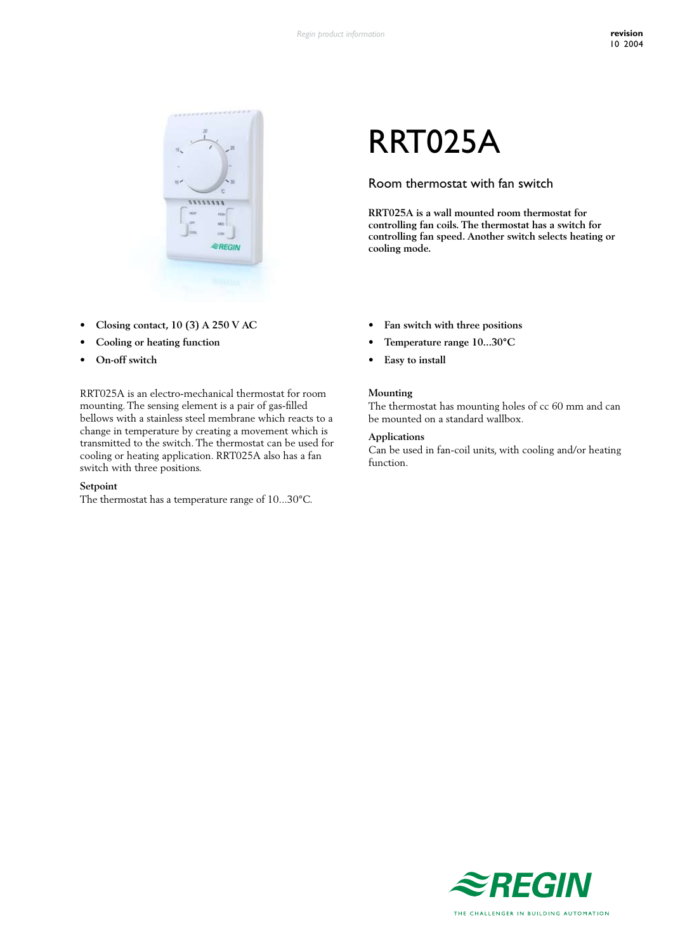

- **• Closing contact, 10 (3) A 250 V AC**
- **• Cooling or heating function**
- **• On-off switch**

RRT025A is an electro-mechanical thermostat for room mounting. The sensing element is a pair of gas-filled bellows with a stainless steel membrane which reacts to a change in temperature by creating a movement which is transmitted to the switch. The thermostat can be used for cooling or heating application. RRT025A also has a fan switch with three positions.

#### **Setpoint**

The thermostat has a temperature range of 10...30°C.

# RRT025A

## Room thermostat with fan switch

**RRT025A is a wall mounted room thermostat for controlling fan coils. The thermostat has a switch for controlling fan speed. Another switch selects heating or cooling mode.**

- **• Fan switch with three positions**
- **• Temperature range 10...30°C**
- Easy to install

## **Mounting**

The thermostat has mounting holes of cc 60 mm and can be mounted on a standard wallbox.

#### **Applications**

Can be used in fan-coil units, with cooling and/or heating function.